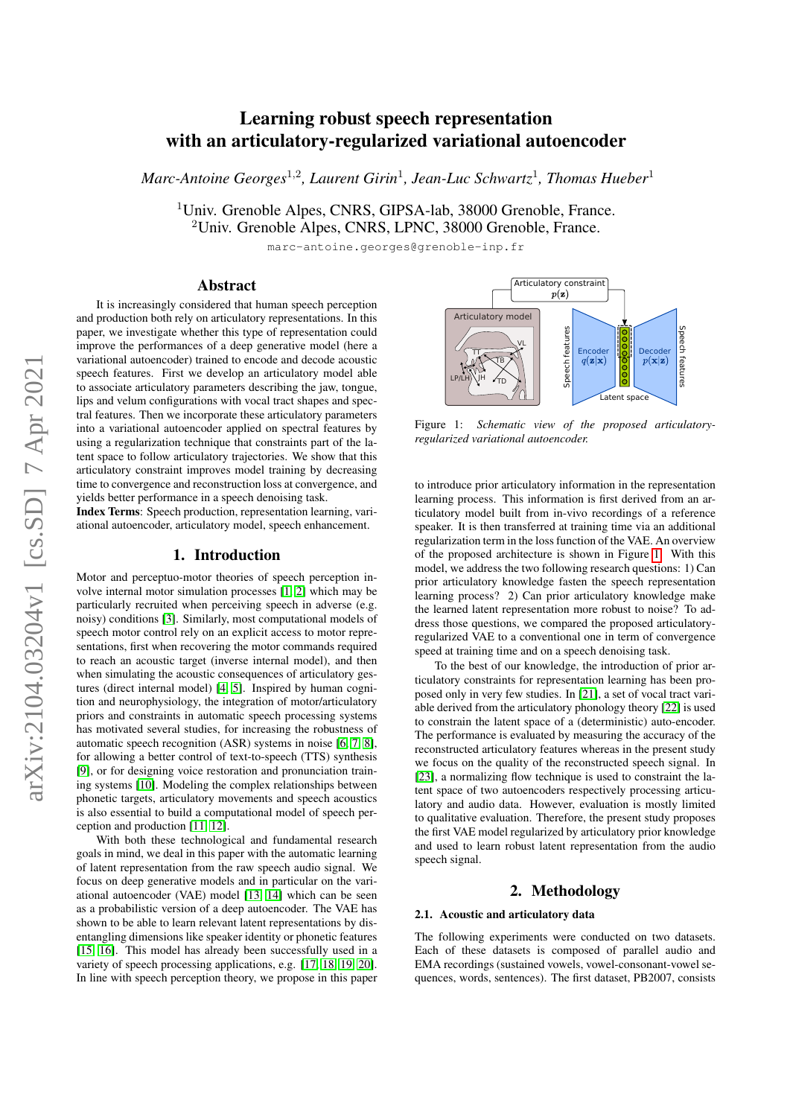# arXiv:2104.03204v1 [cs.SD] 7 Apr 2021 $arXiv:2104.03204v1$  [cs.SD] 7 Apr 2021

# Learning robust speech representation with an articulatory-regularized variational autoencoder

*Marc-Antoine Georges*<sup>1</sup>,<sup>2</sup> *, Laurent Girin*<sup>1</sup> *, Jean-Luc Schwartz*<sup>1</sup> *, Thomas Hueber*<sup>1</sup>

<sup>1</sup>Univ. Grenoble Alpes, CNRS, GIPSA-lab, 38000 Grenoble, France. <sup>2</sup>Univ. Grenoble Alpes, CNRS, LPNC, 38000 Grenoble, France.

marc-antoine.georges@grenoble-inp.fr

# Abstract

It is increasingly considered that human speech perception and production both rely on articulatory representations. In this paper, we investigate whether this type of representation could improve the performances of a deep generative model (here a variational autoencoder) trained to encode and decode acoustic speech features. First we develop an articulatory model able to associate articulatory parameters describing the jaw, tongue, lips and velum configurations with vocal tract shapes and spectral features. Then we incorporate these articulatory parameters into a variational autoencoder applied on spectral features by using a regularization technique that constraints part of the latent space to follow articulatory trajectories. We show that this articulatory constraint improves model training by decreasing time to convergence and reconstruction loss at convergence, and yields better performance in a speech denoising task.

Index Terms: Speech production, representation learning, variational autoencoder, articulatory model, speech enhancement.

# 1. Introduction

Motor and perceptuo-motor theories of speech perception involve internal motor simulation processes [\[1,](#page-4-0) [2\]](#page-4-1) which may be particularly recruited when perceiving speech in adverse (e.g. noisy) conditions [\[3\]](#page-4-2). Similarly, most computational models of speech motor control rely on an explicit access to motor representations, first when recovering the motor commands required to reach an acoustic target (inverse internal model), and then when simulating the acoustic consequences of articulatory gestures (direct internal model) [\[4,](#page-4-3) [5\]](#page-4-4). Inspired by human cognition and neurophysiology, the integration of motor/articulatory priors and constraints in automatic speech processing systems has motivated several studies, for increasing the robustness of automatic speech recognition (ASR) systems in noise [\[6,](#page-4-5) [7,](#page-4-6) [8\]](#page-4-7), for allowing a better control of text-to-speech (TTS) synthesis [\[9\]](#page-4-8), or for designing voice restoration and pronunciation training systems [\[10\]](#page-4-9). Modeling the complex relationships between phonetic targets, articulatory movements and speech acoustics is also essential to build a computational model of speech perception and production [\[11,](#page-4-10) [12\]](#page-4-11).

With both these technological and fundamental research goals in mind, we deal in this paper with the automatic learning of latent representation from the raw speech audio signal. We focus on deep generative models and in particular on the variational autoencoder (VAE) model [\[13,](#page-4-12) [14\]](#page-4-13) which can be seen as a probabilistic version of a deep autoencoder. The VAE has shown to be able to learn relevant latent representations by disentangling dimensions like speaker identity or phonetic features [\[15,](#page-4-14) [16\]](#page-4-15). This model has already been successfully used in a variety of speech processing applications, e.g. [\[17,](#page-4-16) [18,](#page-4-17) [19,](#page-4-18) [20\]](#page-4-19). In line with speech perception theory, we propose in this paper

<span id="page-0-0"></span>

Figure 1: *Schematic view of the proposed articulatoryregularized variational autoencoder.*

to introduce prior articulatory information in the representation learning process. This information is first derived from an articulatory model built from in-vivo recordings of a reference speaker. It is then transferred at training time via an additional regularization term in the loss function of the VAE. An overview of the proposed architecture is shown in Figure [1.](#page-0-0) With this model, we address the two following research questions: 1) Can prior articulatory knowledge fasten the speech representation learning process? 2) Can prior articulatory knowledge make the learned latent representation more robust to noise? To address those questions, we compared the proposed articulatoryregularized VAE to a conventional one in term of convergence speed at training time and on a speech denoising task.

To the best of our knowledge, the introduction of prior articulatory constraints for representation learning has been proposed only in very few studies. In [\[21\]](#page-4-20), a set of vocal tract variable derived from the articulatory phonology theory [\[22\]](#page-4-21) is used to constrain the latent space of a (deterministic) auto-encoder. The performance is evaluated by measuring the accuracy of the reconstructed articulatory features whereas in the present study we focus on the quality of the reconstructed speech signal. In [\[23\]](#page-4-22), a normalizing flow technique is used to constraint the latent space of two autoencoders respectively processing articulatory and audio data. However, evaluation is mostly limited to qualitative evaluation. Therefore, the present study proposes the first VAE model regularized by articulatory prior knowledge and used to learn robust latent representation from the audio speech signal.

# 2. Methodology

### <span id="page-0-1"></span>2.1. Acoustic and articulatory data

The following experiments were conducted on two datasets. Each of these datasets is composed of parallel audio and EMA recordings (sustained vowels, vowel-consonant-vowel sequences, words, sentences). The first dataset, PB2007, consists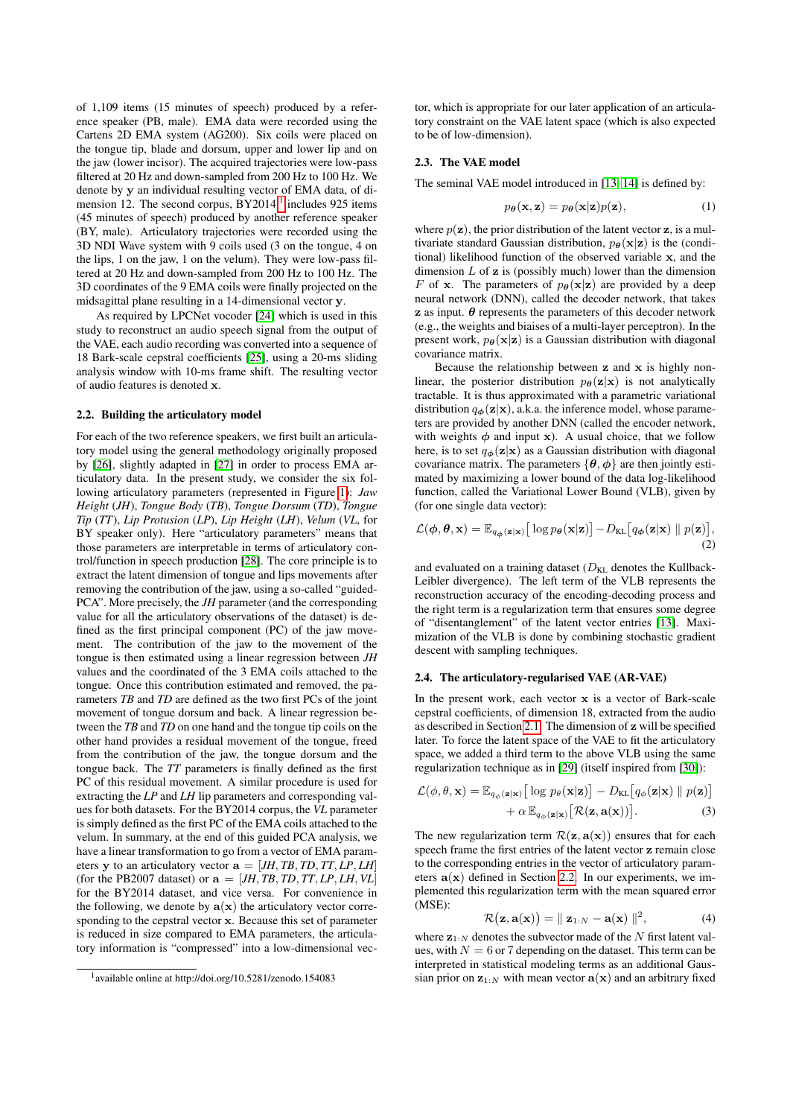of 1,109 items (15 minutes of speech) produced by a reference speaker (PB, male). EMA data were recorded using the Cartens 2D EMA system (AG200). Six coils were placed on the tongue tip, blade and dorsum, upper and lower lip and on the jaw (lower incisor). The acquired trajectories were low-pass filtered at 20 Hz and down-sampled from 200 Hz to 100 Hz. We denote by y an individual resulting vector of EMA data, of di-mension [1](#page-1-0)2. The second corpus,  $BY2014$ ,<sup>1</sup> includes 925 items (45 minutes of speech) produced by another reference speaker (BY, male). Articulatory trajectories were recorded using the 3D NDI Wave system with 9 coils used (3 on the tongue, 4 on the lips, 1 on the jaw, 1 on the velum). They were low-pass filtered at 20 Hz and down-sampled from 200 Hz to 100 Hz. The 3D coordinates of the 9 EMA coils were finally projected on the midsagittal plane resulting in a 14-dimensional vector y.

As required by LPCNet vocoder [\[24\]](#page-4-23) which is used in this study to reconstruct an audio speech signal from the output of the VAE, each audio recording was converted into a sequence of 18 Bark-scale cepstral coefficients [\[25\]](#page-4-24), using a 20-ms sliding analysis window with 10-ms frame shift. The resulting vector of audio features is denoted x.

# <span id="page-1-1"></span>2.2. Building the articulatory model

For each of the two reference speakers, we first built an articulatory model using the general methodology originally proposed by [\[26\]](#page-4-25), slightly adapted in [\[27\]](#page-4-26) in order to process EMA articulatory data. In the present study, we consider the six following articulatory parameters (represented in Figure [1\)](#page-0-0): *Jaw Height* (*JH*), *Tongue Body* (*TB*), *Tongue Dorsum* (*TD*), *Tongue Tip* (*TT*), *Lip Protusion* (*LP*), *Lip Height* (*LH*), *Velum* (*VL*, for BY speaker only). Here "articulatory parameters" means that those parameters are interpretable in terms of articulatory control/function in speech production [\[28\]](#page-4-27). The core principle is to extract the latent dimension of tongue and lips movements after removing the contribution of the jaw, using a so-called "guided-PCA". More precisely, the *JH* parameter (and the corresponding value for all the articulatory observations of the dataset) is defined as the first principal component (PC) of the jaw movement. The contribution of the jaw to the movement of the tongue is then estimated using a linear regression between *JH* values and the coordinated of the 3 EMA coils attached to the tongue. Once this contribution estimated and removed, the parameters *TB* and *TD* are defined as the two first PCs of the joint movement of tongue dorsum and back. A linear regression between the *TB* and *TD* on one hand and the tongue tip coils on the other hand provides a residual movement of the tongue, freed from the contribution of the jaw, the tongue dorsum and the tongue back. The *TT* parameters is finally defined as the first PC of this residual movement. A similar procedure is used for extracting the *LP* and *LH* lip parameters and corresponding values for both datasets. For the BY2014 corpus, the *VL* parameter is simply defined as the first PC of the EMA coils attached to the velum. In summary, at the end of this guided PCA analysis, we have a linear transformation to go from a vector of EMA parameters y to an articulatory vector  $\mathbf{a} = [JH, TB, TD, TT, LP, LH]$ (for the PB2007 dataset) or  $\mathbf{a} = [JH, TB, TD, TT, LP, LH, VL]$ for the BY2014 dataset, and vice versa. For convenience in the following, we denote by  $a(x)$  the articulatory vector corresponding to the cepstral vector x. Because this set of parameter is reduced in size compared to EMA parameters, the articulatory information is "compressed" into a low-dimensional vector, which is appropriate for our later application of an articulatory constraint on the VAE latent space (which is also expected to be of low-dimension).

### 2.3. The VAE model

The seminal VAE model introduced in [\[13,](#page-4-12) [14\]](#page-4-13) is defined by:

$$
p_{\theta}(\mathbf{x}, \mathbf{z}) = p_{\theta}(\mathbf{x}|\mathbf{z})p(\mathbf{z}), \tag{1}
$$

where  $p(\mathbf{z})$ , the prior distribution of the latent vector  $\mathbf{z}$ , is a multivariate standard Gaussian distribution,  $p_{\theta}(\mathbf{x}|\mathbf{z})$  is the (conditional) likelihood function of the observed variable x, and the dimension  $L$  of  $z$  is (possibly much) lower than the dimension F of x. The parameters of  $p_{\theta}(\mathbf{x}|\mathbf{z})$  are provided by a deep neural network (DNN), called the decoder network, that takes  $\boldsymbol{z}$  as input.  $\boldsymbol{\theta}$  represents the parameters of this decoder network (e.g., the weights and biaises of a multi-layer perceptron). In the present work,  $p_{\theta}(\mathbf{x}|\mathbf{z})$  is a Gaussian distribution with diagonal covariance matrix.

Because the relationship between  $z$  and  $x$  is highly nonlinear, the posterior distribution  $p_{\theta}(\mathbf{z}|\mathbf{x})$  is not analytically tractable. It is thus approximated with a parametric variational distribution  $q_{\phi}(\mathbf{z}|\mathbf{x})$ , a.k.a. the inference model, whose parameters are provided by another DNN (called the encoder network, with weights  $\phi$  and input x). A usual choice, that we follow here, is to set  $q_{\phi}(\mathbf{z}|\mathbf{x})$  as a Gaussian distribution with diagonal covariance matrix. The parameters  $\{\theta, \phi\}$  are then jointly estimated by maximizing a lower bound of the data log-likelihood function, called the Variational Lower Bound (VLB), given by (for one single data vector):

$$
\mathcal{L}(\boldsymbol{\phi}, \boldsymbol{\theta}, \mathbf{x}) = \mathbb{E}_{q_{\boldsymbol{\phi}}(\mathbf{z}|\mathbf{x})} [\log p_{\boldsymbol{\theta}}(\mathbf{x}|\mathbf{z})] - D_{\text{KL}}[q_{\boldsymbol{\phi}}(\mathbf{z}|\mathbf{x}) \parallel p(\mathbf{z})],
$$
\n(2)

and evaluated on a training dataset  $(D_{KL}$  denotes the Kullback-Leibler divergence). The left term of the VLB represents the reconstruction accuracy of the encoding-decoding process and the right term is a regularization term that ensures some degree of "disentanglement" of the latent vector entries [\[13\]](#page-4-12). Maximization of the VLB is done by combining stochastic gradient descent with sampling techniques.

### 2.4. The articulatory-regularised VAE (AR-VAE)

In the present work, each vector x is a vector of Bark-scale cepstral coefficients, of dimension 18, extracted from the audio as described in Section [2.1.](#page-0-1) The dimension of z will be specified later. To force the latent space of the VAE to fit the articulatory space, we added a third term to the above VLB using the same regularization technique as in [\[29\]](#page-4-28) (itself inspired from [\[30\]](#page-4-29)):

$$
\mathcal{L}(\phi, \theta, \mathbf{x}) = \mathbb{E}_{q_{\phi}(\mathbf{z}|\mathbf{x})} [\log p_{\theta}(\mathbf{x}|\mathbf{z})] - D_{\text{KL}}[q_{\phi}(\mathbf{z}|\mathbf{x}) \parallel p(\mathbf{z})] + \alpha \mathbb{E}_{q_{\phi}(\mathbf{z}|\mathbf{x})} [\mathcal{R}(\mathbf{z}, \mathbf{a}(\mathbf{x}))].
$$
\n(3)

The new regularization term  $\mathcal{R}(\mathbf{z}, \mathbf{a}(\mathbf{x}))$  ensures that for each speech frame the first entries of the latent vector z remain close to the corresponding entries in the vector of articulatory parameters  $a(x)$  defined in Section [2.2.](#page-1-1) In our experiments, we implemented this regularization term with the mean squared error (MSE):

<span id="page-1-2"></span>
$$
\mathcal{R}(\mathbf{z}, \mathbf{a}(\mathbf{x})) = || \mathbf{z}_{1:N} - \mathbf{a}(\mathbf{x}) ||^2, \tag{4}
$$

where  $z_{1:N}$  denotes the subvector made of the N first latent values, with  $N = 6$  or 7 depending on the dataset. This term can be interpreted in statistical modeling terms as an additional Gaussian prior on  $z_{1:N}$  with mean vector  $a(x)$  and an arbitrary fixed

<span id="page-1-0"></span><sup>1</sup> available online at http://doi.org/10.5281/zenodo.154083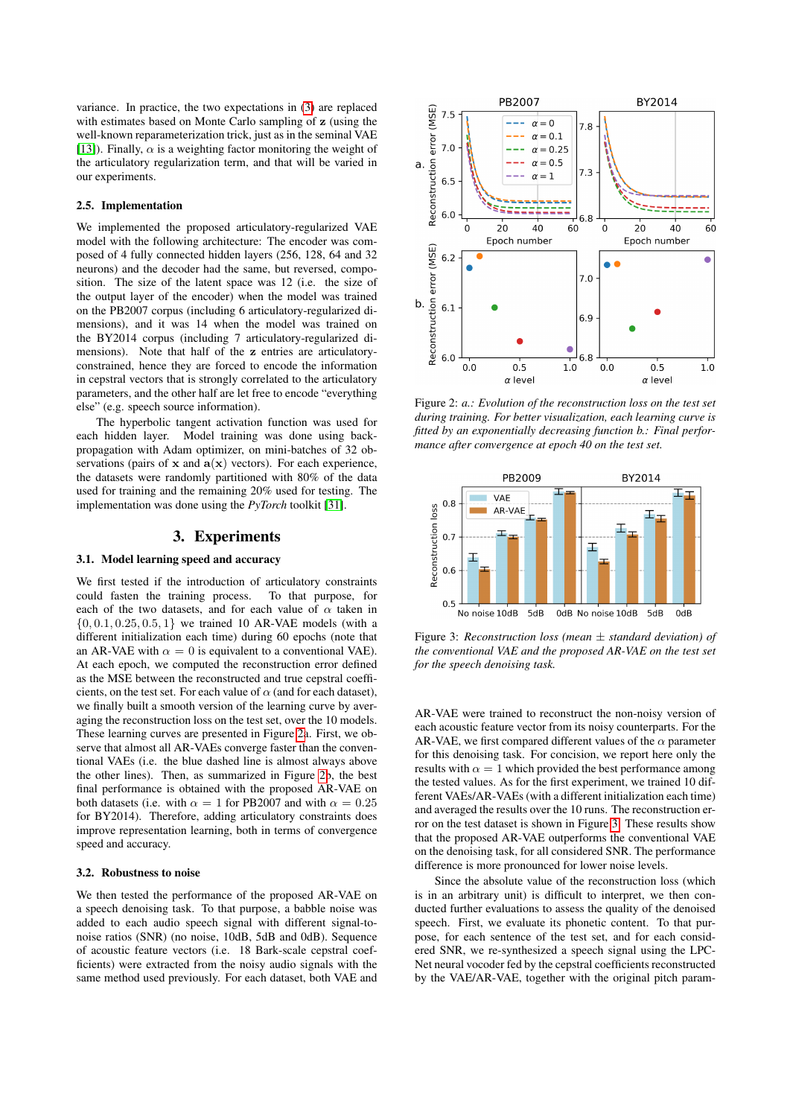variance. In practice, the two expectations in [\(3\)](#page-1-2) are replaced with estimates based on Monte Carlo sampling of z (using the well-known reparameterization trick, just as in the seminal VAE [\[13\]](#page-4-12)). Finally,  $\alpha$  is a weighting factor monitoring the weight of the articulatory regularization term, and that will be varied in our experiments.

### 2.5. Implementation

We implemented the proposed articulatory-regularized VAE model with the following architecture: The encoder was composed of 4 fully connected hidden layers (256, 128, 64 and 32 neurons) and the decoder had the same, but reversed, composition. The size of the latent space was 12 (i.e. the size of the output layer of the encoder) when the model was trained on the PB2007 corpus (including 6 articulatory-regularized dimensions), and it was 14 when the model was trained on the BY2014 corpus (including 7 articulatory-regularized dimensions). Note that half of the z entries are articulatoryconstrained, hence they are forced to encode the information in cepstral vectors that is strongly correlated to the articulatory parameters, and the other half are let free to encode "everything else" (e.g. speech source information).

The hyperbolic tangent activation function was used for each hidden layer. Model training was done using backpropagation with Adam optimizer, on mini-batches of 32 observations (pairs of  $x$  and  $a(x)$  vectors). For each experience, the datasets were randomly partitioned with 80% of the data used for training and the remaining 20% used for testing. The implementation was done using the *PyTorch* toolkit [\[31\]](#page-4-30).

# 3. Experiments

# 3.1. Model learning speed and accuracy

We first tested if the introduction of articulatory constraints could fasten the training process. To that purpose, for each of the two datasets, and for each value of  $\alpha$  taken in  $\{0, 0.1, 0.25, 0.5, 1\}$  we trained 10 AR-VAE models (with a different initialization each time) during 60 epochs (note that an AR-VAE with  $\alpha = 0$  is equivalent to a conventional VAE). At each epoch, we computed the reconstruction error defined as the MSE between the reconstructed and true cepstral coefficients, on the test set. For each value of  $\alpha$  (and for each dataset), we finally built a smooth version of the learning curve by averaging the reconstruction loss on the test set, over the 10 models. These learning curves are presented in Figure [2a](#page-2-0). First, we observe that almost all AR-VAEs converge faster than the conventional VAEs (i.e. the blue dashed line is almost always above the other lines). Then, as summarized in Figure [2b](#page-2-0), the best final performance is obtained with the proposed AR-VAE on both datasets (i.e. with  $\alpha = 1$  for PB2007 and with  $\alpha = 0.25$ for BY2014). Therefore, adding articulatory constraints does improve representation learning, both in terms of convergence speed and accuracy.

### 3.2. Robustness to noise

We then tested the performance of the proposed AR-VAE on a speech denoising task. To that purpose, a babble noise was added to each audio speech signal with different signal-tonoise ratios (SNR) (no noise, 10dB, 5dB and 0dB). Sequence of acoustic feature vectors (i.e. 18 Bark-scale cepstral coefficients) were extracted from the noisy audio signals with the same method used previously. For each dataset, both VAE and

<span id="page-2-0"></span>

Figure 2: *a.: Evolution of the reconstruction loss on the test set during training. For better visualization, each learning curve is fitted by an exponentially decreasing function b.: Final performance after convergence at epoch 40 on the test set.*

<span id="page-2-1"></span>

Figure 3: *Reconstruction loss (mean* ± *standard deviation) of the conventional VAE and the proposed AR-VAE on the test set for the speech denoising task.*

AR-VAE were trained to reconstruct the non-noisy version of each acoustic feature vector from its noisy counterparts. For the AR-VAE, we first compared different values of the  $\alpha$  parameter for this denoising task. For concision, we report here only the results with  $\alpha = 1$  which provided the best performance among the tested values. As for the first experiment, we trained 10 different VAEs/AR-VAEs (with a different initialization each time) and averaged the results over the 10 runs. The reconstruction error on the test dataset is shown in Figure [3.](#page-2-1) These results show that the proposed AR-VAE outperforms the conventional VAE on the denoising task, for all considered SNR. The performance difference is more pronounced for lower noise levels.

Since the absolute value of the reconstruction loss (which is in an arbitrary unit) is difficult to interpret, we then conducted further evaluations to assess the quality of the denoised speech. First, we evaluate its phonetic content. To that purpose, for each sentence of the test set, and for each considered SNR, we re-synthesized a speech signal using the LPC-Net neural vocoder fed by the cepstral coefficients reconstructed by the VAE/AR-VAE, together with the original pitch param-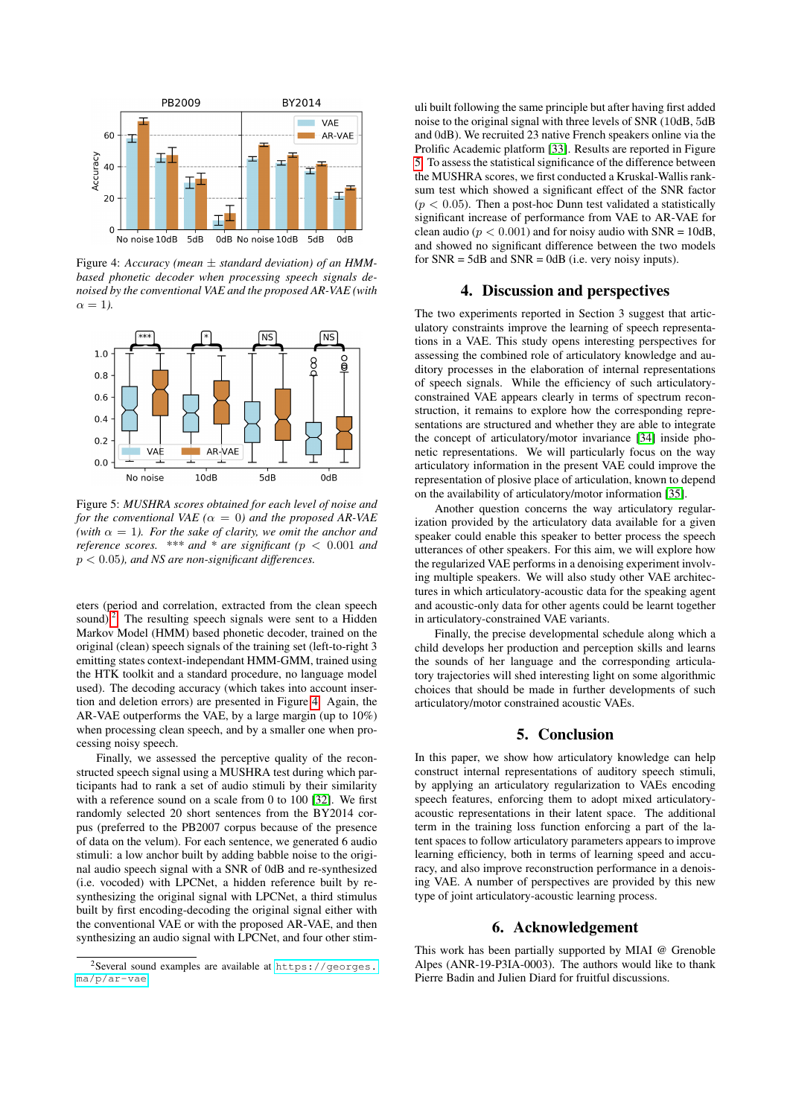<span id="page-3-1"></span>

Figure 4: *Accuracy (mean* ± *standard deviation) of an HMMbased phonetic decoder when processing speech signals denoised by the conventional VAE and the proposed AR-VAE (with*  $\alpha = 1$ ).

<span id="page-3-2"></span>

Figure 5: *MUSHRA scores obtained for each level of noise and for the conventional VAE* ( $\alpha = 0$ ) *and the proposed AR-VAE* (with  $\alpha = 1$ ). For the sake of clarity, we omit the anchor and *reference scores. \*\*\* and \* are significant (*p < 0.001 *and* p < 0.05*), and NS are non-significant differences.*

eters (period and correlation, extracted from the clean speech sound).<sup>[2](#page-3-0)</sup> The resulting speech signals were sent to a Hidden Markov Model (HMM) based phonetic decoder, trained on the original (clean) speech signals of the training set (left-to-right 3 emitting states context-independant HMM-GMM, trained using the HTK toolkit and a standard procedure, no language model used). The decoding accuracy (which takes into account insertion and deletion errors) are presented in Figure [4.](#page-3-1) Again, the AR-VAE outperforms the VAE, by a large margin (up to 10%) when processing clean speech, and by a smaller one when processing noisy speech.

Finally, we assessed the perceptive quality of the reconstructed speech signal using a MUSHRA test during which participants had to rank a set of audio stimuli by their similarity with a reference sound on a scale from 0 to 100 [\[32\]](#page-4-31). We first randomly selected 20 short sentences from the BY2014 corpus (preferred to the PB2007 corpus because of the presence of data on the velum). For each sentence, we generated 6 audio stimuli: a low anchor built by adding babble noise to the original audio speech signal with a SNR of 0dB and re-synthesized (i.e. vocoded) with LPCNet, a hidden reference built by resynthesizing the original signal with LPCNet, a third stimulus built by first encoding-decoding the original signal either with the conventional VAE or with the proposed AR-VAE, and then synthesizing an audio signal with LPCNet, and four other stimuli built following the same principle but after having first added noise to the original signal with three levels of SNR (10dB, 5dB and 0dB). We recruited 23 native French speakers online via the Prolific Academic platform [\[33\]](#page-4-32). Results are reported in Figure [5.](#page-3-2) To assess the statistical significance of the difference between the MUSHRA scores, we first conducted a Kruskal-Wallis ranksum test which showed a significant effect of the SNR factor  $(p < 0.05)$ . Then a post-hoc Dunn test validated a statistically significant increase of performance from VAE to AR-VAE for clean audio ( $p < 0.001$ ) and for noisy audio with SNR = 10dB, and showed no significant difference between the two models for  $SNR = 5dB$  and  $SNR = 0dB$  (i.e. very noisy inputs).

# 4. Discussion and perspectives

The two experiments reported in Section 3 suggest that articulatory constraints improve the learning of speech representations in a VAE. This study opens interesting perspectives for assessing the combined role of articulatory knowledge and auditory processes in the elaboration of internal representations of speech signals. While the efficiency of such articulatoryconstrained VAE appears clearly in terms of spectrum reconstruction, it remains to explore how the corresponding representations are structured and whether they are able to integrate the concept of articulatory/motor invariance [\[34\]](#page-4-33) inside phonetic representations. We will particularly focus on the way articulatory information in the present VAE could improve the representation of plosive place of articulation, known to depend on the availability of articulatory/motor information [\[35\]](#page-4-34).

Another question concerns the way articulatory regularization provided by the articulatory data available for a given speaker could enable this speaker to better process the speech utterances of other speakers. For this aim, we will explore how the regularized VAE performs in a denoising experiment involving multiple speakers. We will also study other VAE architectures in which articulatory-acoustic data for the speaking agent and acoustic-only data for other agents could be learnt together in articulatory-constrained VAE variants.

Finally, the precise developmental schedule along which a child develops her production and perception skills and learns the sounds of her language and the corresponding articulatory trajectories will shed interesting light on some algorithmic choices that should be made in further developments of such articulatory/motor constrained acoustic VAEs.

# 5. Conclusion

In this paper, we show how articulatory knowledge can help construct internal representations of auditory speech stimuli, by applying an articulatory regularization to VAEs encoding speech features, enforcing them to adopt mixed articulatoryacoustic representations in their latent space. The additional term in the training loss function enforcing a part of the latent spaces to follow articulatory parameters appears to improve learning efficiency, both in terms of learning speed and accuracy, and also improve reconstruction performance in a denoising VAE. A number of perspectives are provided by this new type of joint articulatory-acoustic learning process.

# 6. Acknowledgement

This work has been partially supported by MIAI @ Grenoble Alpes (ANR-19-P3IA-0003). The authors would like to thank Pierre Badin and Julien Diard for fruitful discussions.

<span id="page-3-0"></span><sup>2</sup>Several sound examples are available at [https://georges.](https://georges.ma/p/ar-vae) [ma/p/ar-vae](https://georges.ma/p/ar-vae)